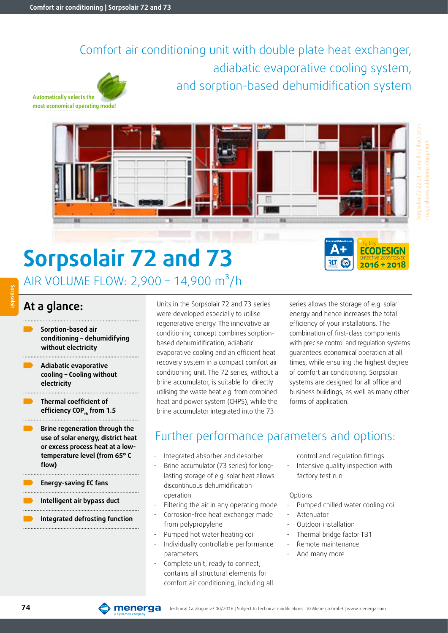Comfort air conditioning unit with double plate heat exchanger, adiabatic evaporative cooling system, and sorption-based dehumidification system





# **Sorpsolair 72 and 73**

AIR VOLUME FLOW: 2,900 - 14,900 m<sup>3</sup>/h

### **At a glance:**

**Sorpsolair**

- **Sorption-based air conditioning – dehumidifying without electricity**
- **Adiabatic evaporative cooling – Cooling without electricity**
- **Thermal coefficient of efficiency COP**<sub>th</sub> from 1.5
- **Brine regeneration through the use of solar energy, district heat or excess process heat at a lowtemperature level (from 65° C flow)**

- **Energy-saving EC fans**
- **Intelligent air bypass duct**
- **Integrated defrosting function**

Units in the Sorpsolair 72 and 73 series were developed especially to utilise regenerative energy. The innovative air conditioning concept combines sorptionbased dehumidification, adiabatic evaporative cooling and an efficient heat recovery system in a compact comfort air conditioning unit. The 72 series, without a brine accumulator, is suitable for directly utilising the waste heat e.g. from combined heat and power system (CHPS), while the brine accumulator integrated into the 73

series allows the storage of e.g. solar energy and hence increases the total efficiency of your installations. The combination of first-class components with precise control and regulation systems guarantees economical operation at all times, while ensuring the highest degree of comfort air conditioning. Sorpsolair systems are designed for all office and business buildings, as well as many other forms of application.

**ECODESIGN**  $2016 + 2018$ 

## Further performance parameters and options:

- Integrated absorber and desorber
- Brine accumulator (73 series) for longlasting storage of e.g. solar heat allows discontinuous dehumidification operation
- Filtering the air in any operating mode
- Corrosion-free heat exchanger made from polypropylene
- Pumped hot water heating coil
- Individually controllable performance parameters
- Complete unit, ready to connect, contains all structural elements for comfort air conditioning, including all

control and regulation fittings

Intensive quality inspection with factory test run

#### **Options**

- Pumped chilled water cooling coil
- Attenuator
- Outdoor installation
- Thermal bridge factor TB1
- Remote maintenance
- And many more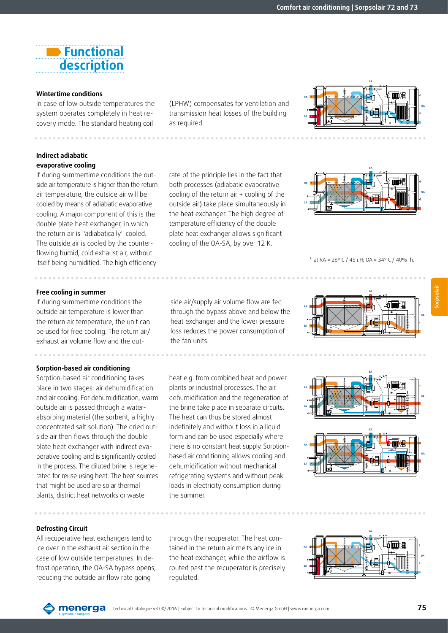

#### **Wintertime conditions**

In case of low outside temperatures the system operates completely in heat recovery mode. The standard heating coil

transmission heat losses of the building as required.



#### **Indirect adiabatic evaporative cooling**

If during summertime conditions the outside air temperature is higher than the return air temperature, the outside air will be cooled by means of adiabatic evaporative cooling. A major component of this is the double plate heat exchanger, in which the return air is "adiabatically" cooled. The outside air is cooled by the counterflowing humid, cold exhaust air, without itself being humidified. The high efficiency

#### **Free cooling in summer**

If during summertime conditions the outside air temperature is lower than the return air temperature, the unit can be used for free cooling. The return air/ exhaust air volume flow and the out-

#### **Sorption-based air conditioning**

Sorption-based air conditioning takes place in two stages: air dehumidification and air cooling. For dehumidification, warm outside air is passed through a waterabsorbing material (the sorbent, a highly concentrated salt solution). The dried outside air then flows through the double plate heat exchanger with indirect evaporative cooling and is significantly cooled in the process. The diluted brine is regenerated for reuse using heat. The heat sources that might be used are solar thermal plants, district heat networks or waste

rate of the principle lies in the fact that both processes (adiabatic evaporative cooling of the return air + cooling of the outside air) take place simultaneously in the heat exchanger. The high degree of temperature efficiency of the double plate heat exchanger allows significant cooling of the OA-SA, by over 12 K.

(LPHW) compensates for ventilation and

side air/supply air volume flow are fed through the bypass above and below the heat exchanger and the lower pressure loss reduces the power consumption of the fan units.

**RA SA OA EA**

 $*$  at RA = 26° C / 45 r.H; OA = 34° C / 40% rh.





**EA**

**Defrosting Circuit**

All recuperative heat exchangers tend to ice over in the exhaust air section in the case of low outside temperatures. In defrost operation, the OA-SA bypass opens, reducing the outside air flow rate going

heat e.g. from combined heat and power plants or industrial processes. The air dehumidification and the regeneration of the brine take place in separate circuits. The heat can thus be stored almost indefinitely and without loss in a liquid form and can be used especially where there is no constant heat supply. Sorptionbased air conditioning allows cooling and dehumidification without mechanical refrigerating systems and without peak loads in electricity consumption during the summer.

through the recuperator. The heat contained in the return air melts any ice in the heat exchanger, while the airflow is routed past the recuperator is precisely **RA SA**

**Sorpsolai** 

regulated.

**OA**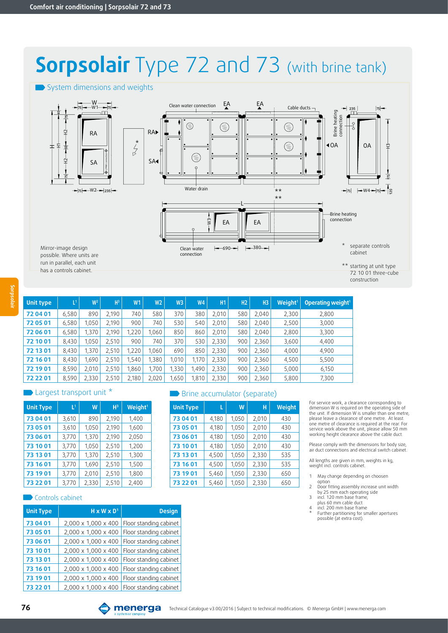## **Sorpsolair** Type 72 and 73 (with brine tank)

System dimensions and weights



run in parallel, each unit has a controls cabinet.

\*\* starting at unit type 72 10 01 three-cube construction

| <b>Unit type</b> | L٦    | $W^2$ | $H^3$ | W <sub>1</sub> | W <sub>2</sub> | W3    | W <sub>4</sub> | <b>H1</b> | H <sub>2</sub> | H <sub>3</sub> | Weight <sup>1</sup> | Operating weight <sup>1</sup> |
|------------------|-------|-------|-------|----------------|----------------|-------|----------------|-----------|----------------|----------------|---------------------|-------------------------------|
| 72 04 01         | 6.580 | 890   | 2.190 | 740            | 580            | 370   | 380            | 2.010     | 580            | 2.040          | 2.300               | 2,800                         |
| 720501           | 6.580 | 1.050 | 2.190 | 900            | 740            | 530   | 540            | 2.010     | 580            | 2,040          | 2,500               | 3,000                         |
| 72 06 01         | 6.580 | 1.370 | 2,190 | 1.220          | .060           | 850   | 860            | 2.010     | 580            | 2.040          | 2,800               | 3,300                         |
| 72 10 01         | 8.430 | 1.050 | 2.510 | 900            | 740            | 370   | 530            | 2,330     | 900            | 2,360          | 3,600               | 4,400                         |
| 72 13 01         | 8.430 | 1.370 | 2,510 | 1.220          | 1.060          | 690   | 850            | 2,330     | 900            | 2,360          | 4,000               | 4,900                         |
| 72 16 01         | 8.430 | .690  | 2.510 | 1.540          | 1.380          | 1.010 | 1.170          | 2.330     | 900            | 2,360          | 4,500               | 5,500                         |
| 72 19 01         | 8.590 | 2.010 | 2.510 | 1.860          | 1.700          | 1.330 | 1.490          | 2,330     | 900            | 2,360          | 5,000               | 6,150                         |
| 72 22 01         | 8.590 | 2,330 | 2.510 | 2.180          | 2.020          | 1.650 | 1.810          | 2,330     | 900            | 2,360          | 5.800               | 7.300                         |

| <b>Unit Type</b> | L <sup>1</sup> | W     | $H^3$ | Weight <sup>1</sup> |
|------------------|----------------|-------|-------|---------------------|
| 73 04 01         | 3,610          | 890   | 2,190 | 1,400               |
| 73 05 01         | 3,610          | 1,050 | 2,190 | 1,600               |
| 73 06 01         | 3,770          | 1,370 | 2,190 | 2,050               |
| 73 10 01         | 3,770          | 1,050 | 2,510 | 1,200               |
| 73 13 01         | 3,770          | 1,370 | 2,510 | 1,300               |
| 73 16 01         | 3,770          | 1,690 | 2,510 | 1,500               |
| 73 19 01         | 3,770          | 2,010 | 2,510 | 1,800               |
| 73 22 01         | 3,770          | 2,330 | 2,510 | 2,400               |

#### Controls cabinet

| <b>Unit Type</b> | $H \times W \times D$ <sup>1</sup> | <b>Design</b>          |
|------------------|------------------------------------|------------------------|
| 73 04 01         | 2,000 x 1,000 x 400                | Floor standing cabinet |
| 73 05 01         | 2,000 x 1,000 x 400                | Floor standing cabinet |
| 73 06 01         | 2,000 x 1,000 x 400                | Floor standing cabinet |
| 73 10 01         | 2.000 x 1.000 x 400                | Floor standing cabinet |
| 73 13 01         | 2,000 x 1,000 x 400                | Floor standing cabinet |
| 73 16 01         | 2,000 x 1,000 x 400                | Floor standing cabinet |
| 73 19 01         | 2,000 x 1,000 x 400                | Floor standing cabinet |
| 73 22 01         | 2,000 x 1,000 x 400                | Floor standing cabinet |

#### **D** Largest transport unit  $*$  **B** Brine accumulator (separate)

| <b>Unit Type</b> | L     | W     | н     | <b>Weight</b> |
|------------------|-------|-------|-------|---------------|
| 73 04 01         | 4,180 | 1,050 | 2,010 | 430           |
| 73 05 01         | 4,180 | 1,050 | 2,010 | 430           |
| 73 06 01         | 4,180 | 1,050 | 2,010 | 430           |
| 73 10 01         | 4,180 | 1,050 | 2,010 | 430           |
| 73 13 01         | 4,500 | 1,050 | 2,330 | 535           |
| 73 16 01         | 4,500 | 1,050 | 2,330 | 535           |
| 73 19 01         | 5,460 | 1,050 | 2,330 | 650           |
| 73 22 01         | 5,460 | 1,050 | 2,330 | 650           |

For service work, a clearance corresponding to dimension W is required on the operating side of the unit. If dimension W is smaller than one metre, please leave a clearance of one metre. At least one metre of clearance is required at the rear. For service work above the unit, please allow 50 mm working height clearance above the cable duct.

Please comply with the dimensions for body size, air duct connections and electrical switch cabinet.

All lengths are given in mm, weights in kg, weight incl. controls cabinet.

- 1 May change depending on choosen option
- 2 Door fitting assembly increase unit width by 25 mm each operating side
- 3 incl. 120 mm base frame,
- plus 60 mm cable duct
- 4 incl. 200 mm base frame \* Further partitioning for smaller apertures possible (at extra cost).